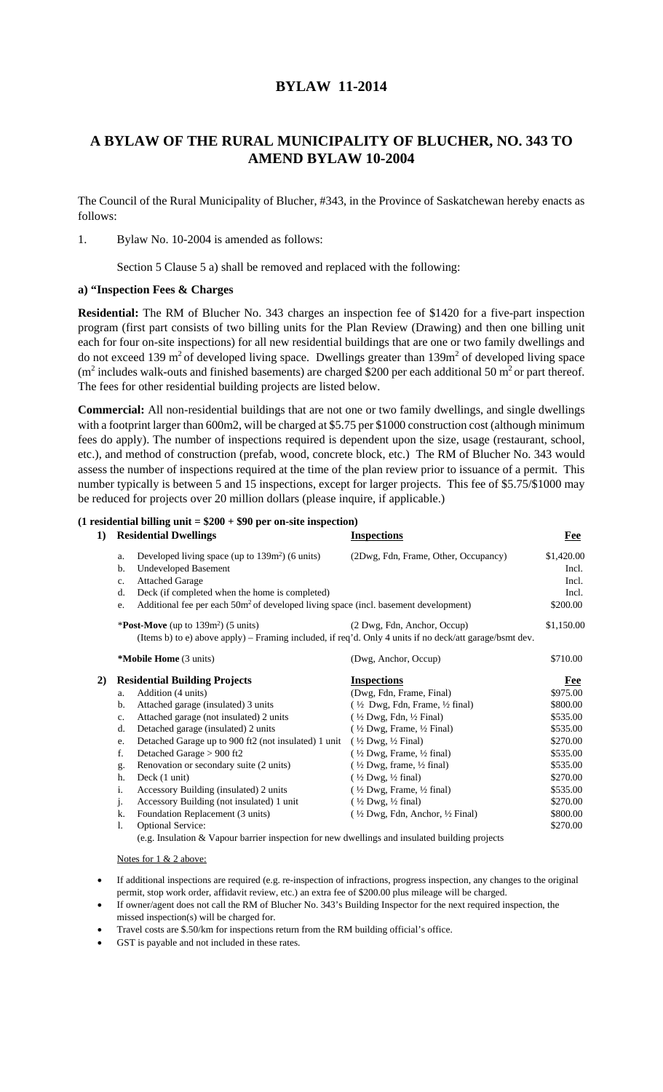## **BYLAW 11-2014**

## **A BYLAW OF THE RURAL MUNICIPALITY OF BLUCHER, NO. 343 TO AMEND BYLAW 10-2004**

The Council of the Rural Municipality of Blucher, #343, in the Province of Saskatchewan hereby enacts as follows:

1. Bylaw No. 10-2004 is amended as follows:

Section 5 Clause 5 a) shall be removed and replaced with the following:

## **a) "Inspection Fees & Charges**

**Residential:** The RM of Blucher No. 343 charges an inspection fee of \$1420 for a five-part inspection program (first part consists of two billing units for the Plan Review (Drawing) and then one billing unit each for four on-site inspections) for all new residential buildings that are one or two family dwellings and do not exceed 139 m<sup>2</sup> of developed living space. Dwellings greater than  $139m<sup>2</sup>$  of developed living space  $(m^2)$  includes walk-outs and finished basements) are charged \$200 per each additional 50 m<sup>2</sup> or part thereof. The fees for other residential building projects are listed below.

**Commercial:** All non-residential buildings that are not one or two family dwellings, and single dwellings with a footprint larger than 600m2, will be charged at \$5.75 per \$1000 construction cost (although minimum fees do apply). The number of inspections required is dependent upon the size, usage (restaurant, school, etc.), and method of construction (prefab, wood, concrete block, etc.) The RM of Blucher No. 343 would assess the number of inspections required at the time of the plan review prior to issuance of a permit. This number typically is between 5 and 15 inspections, except for larger projects. This fee of \$5.75/\$1000 may be reduced for projects over 20 million dollars (please inquire, if applicable.)

| $(1$ residential billing unit = \$200 + \$90 per on-site inspection) |                                                                                                                                                  |                                                      |            |  |  |  |
|----------------------------------------------------------------------|--------------------------------------------------------------------------------------------------------------------------------------------------|------------------------------------------------------|------------|--|--|--|
| 1)                                                                   | <b>Residential Dwellings</b>                                                                                                                     | <b>Inspections</b>                                   | Fee        |  |  |  |
|                                                                      | Developed living space (up to $139m^2$ ) (6 units)<br>a.                                                                                         | (2Dwg, Fdn, Frame, Other, Occupancy)                 | \$1,420.00 |  |  |  |
|                                                                      | <b>Undeveloped Basement</b><br>b.                                                                                                                |                                                      | Incl.      |  |  |  |
|                                                                      | <b>Attached Garage</b><br>c.                                                                                                                     |                                                      | Incl.      |  |  |  |
|                                                                      | Deck (if completed when the home is completed)<br>d.                                                                                             |                                                      | Incl.      |  |  |  |
|                                                                      | Additional fee per each 50m <sup>2</sup> of developed living space (incl. basement development)<br>e.                                            |                                                      | \$200.00   |  |  |  |
|                                                                      | * <b>Post-Move</b> (up to $139m^2$ ) (5 units)                                                                                                   | (2 Dwg, Fdn, Anchor, Occup)                          | \$1,150.00 |  |  |  |
|                                                                      | (Items b) to e) above apply) – Framing included, if req'd. Only 4 units if no deck/att garage/bsmt dev.                                          |                                                      |            |  |  |  |
|                                                                      | *Mobile Home (3 units)                                                                                                                           | (Dwg, Anchor, Occup)                                 | \$710.00   |  |  |  |
| 2)                                                                   | <b>Residential Building Projects</b>                                                                                                             | <b>Inspections</b>                                   | <b>Fee</b> |  |  |  |
|                                                                      | Addition (4 units)<br>a.                                                                                                                         | (Dwg, Fdn, Frame, Final)                             | \$975.00   |  |  |  |
|                                                                      | Attached garage (insulated) 3 units<br>b.                                                                                                        | $(\frac{1}{2}$ Dwg, Fdn, Frame, $\frac{1}{2}$ final) | \$800.00   |  |  |  |
|                                                                      | Attached garage (not insulated) 2 units<br>c.                                                                                                    | $(\frac{1}{2}Dwg, Fdn, \frac{1}{2}Final)$            | \$535.00   |  |  |  |
|                                                                      | Detached garage (insulated) 2 units<br>d.                                                                                                        | $(\frac{1}{2}$ Dwg, Frame, $\frac{1}{2}$ Final)      | \$535.00   |  |  |  |
|                                                                      | Detached Garage up to 900 ft2 (not insulated) 1 unit<br>e.                                                                                       | $(\frac{1}{2}$ Dwg, $\frac{1}{2}$ Final)             | \$270.00   |  |  |  |
|                                                                      | f.<br>Detached Garage > 900 ft2                                                                                                                  | $(\frac{1}{2}$ Dwg, Frame, $\frac{1}{2}$ final)      | \$535.00   |  |  |  |
|                                                                      | Renovation or secondary suite (2 units)<br>g.                                                                                                    | $(\frac{1}{2}$ Dwg, frame, $\frac{1}{2}$ final)      | \$535.00   |  |  |  |
|                                                                      | Deck (1 unit)<br>h.                                                                                                                              | $(\frac{1}{2}Dwg, \frac{1}{2}final)$                 | \$270.00   |  |  |  |
|                                                                      | i.<br>Accessory Building (insulated) 2 units                                                                                                     | $(\frac{1}{2}Dwg, Frame, \frac{1}{2}final)$          | \$535.00   |  |  |  |
|                                                                      | Accessory Building (not insulated) 1 unit<br>j.                                                                                                  | $(\frac{1}{2}Dwg, \frac{1}{2}final)$                 | \$270.00   |  |  |  |
|                                                                      | Foundation Replacement (3 units)<br>k.                                                                                                           | $(\frac{1}{2}Dwg, Fdn, Anchor, \frac{1}{2}Final)$    | \$800.00   |  |  |  |
|                                                                      | <b>Optional Service:</b><br>1.                                                                                                                   |                                                      | \$270.00   |  |  |  |
|                                                                      | $\ell_{\rm max}$ . The coloration of $\Omega$ , $\Omega$ is a constant to constant from exceptional constant $\Omega$ . The constant of $\Omega$ |                                                      |            |  |  |  |

(e.g. Insulation & Vapour barrier inspection for new dwellings and insulated building projects

Notes for 1 & 2 above:

- If additional inspections are required (e.g. re-inspection of infractions, progress inspection, any changes to the original permit, stop work order, affidavit review, etc.) an extra fee of \$200.00 plus mileage will be charged.
- If owner/agent does not call the RM of Blucher No. 343's Building Inspector for the next required inspection, the missed inspection(s) will be charged for.
- Travel costs are \$.50/km for inspections return from the RM building official's office.
- GST is payable and not included in these rates.